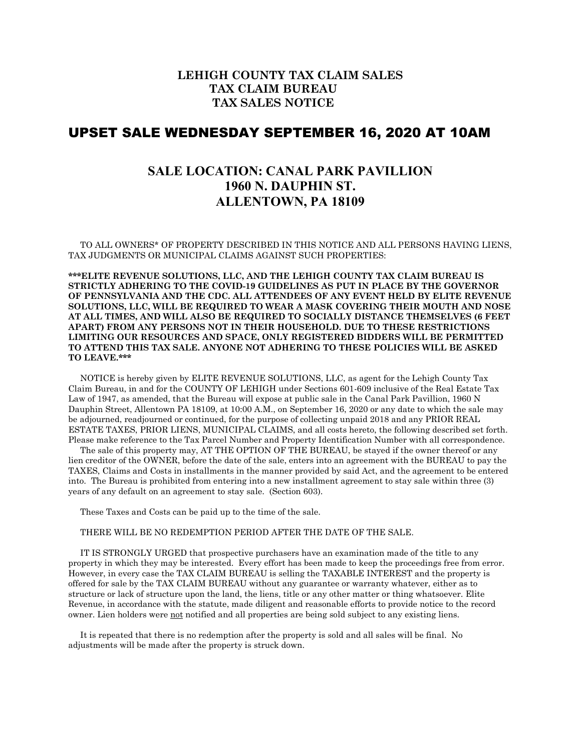## **LEHIGH COUNTY TAX CLAIM SALES TAX CLAIM BUREAU TAX SALES NOTICE**

## UPSET SALE WEDNESDAY SEPTEMBER 16, 2020 AT 10AM

## **SALE LOCATION: CANAL PARK PAVILLION 1960 N. DAUPHIN ST. ALLENTOWN, PA 18109**

 TO ALL OWNERS\* OF PROPERTY DESCRIBED IN THIS NOTICE AND ALL PERSONS HAVING LIENS, TAX JUDGMENTS OR MUNICIPAL CLAIMS AGAINST SUCH PROPERTIES:

**\*\*\*ELITE REVENUE SOLUTIONS, LLC, AND THE LEHIGH COUNTY TAX CLAIM BUREAU IS STRICTLY ADHERING TO THE COVID-19 GUIDELINES AS PUT IN PLACE BY THE GOVERNOR OF PENNSYLVANIA AND THE CDC. ALL ATTENDEES OF ANY EVENT HELD BY ELITE REVENUE SOLUTIONS, LLC, WILL BE REQUIRED TO WEAR A MASK COVERING THEIR MOUTH AND NOSE AT ALL TIMES, AND WILL ALSO BE REQUIRED TO SOCIALLY DISTANCE THEMSELVES (6 FEET APART) FROM ANY PERSONS NOT IN THEIR HOUSEHOLD. DUE TO THESE RESTRICTIONS LIMITING OUR RESOURCES AND SPACE, ONLY REGISTERED BIDDERS WILL BE PERMITTED TO ATTEND THIS TAX SALE. ANYONE NOT ADHERING TO THESE POLICIES WILL BE ASKED TO LEAVE.\*\*\***

 NOTICE is hereby given by ELITE REVENUE SOLUTIONS, LLC, as agent for the Lehigh County Tax Claim Bureau, in and for the COUNTY OF LEHIGH under Sections 601-609 inclusive of the Real Estate Tax Law of 1947, as amended, that the Bureau will expose at public sale in the Canal Park Pavillion, 1960 N Dauphin Street, Allentown PA 18109, at 10:00 A.M., on September 16, 2020 or any date to which the sale may be adjourned, readjourned or continued, for the purpose of collecting unpaid 2018 and any PRIOR REAL ESTATE TAXES, PRIOR LIENS, MUNICIPAL CLAIMS, and all costs hereto, the following described set forth. Please make reference to the Tax Parcel Number and Property Identification Number with all correspondence.

 The sale of this property may, AT THE OPTION OF THE BUREAU, be stayed if the owner thereof or any lien creditor of the OWNER, before the date of the sale, enters into an agreement with the BUREAU to pay the TAXES, Claims and Costs in installments in the manner provided by said Act, and the agreement to be entered into. The Bureau is prohibited from entering into a new installment agreement to stay sale within three (3) years of any default on an agreement to stay sale. (Section 603).

These Taxes and Costs can be paid up to the time of the sale.

## THERE WILL BE NO REDEMPTION PERIOD AFTER THE DATE OF THE SALE.

 IT IS STRONGLY URGED that prospective purchasers have an examination made of the title to any property in which they may be interested. Every effort has been made to keep the proceedings free from error. However, in every case the TAX CLAIM BUREAU is selling the TAXABLE INTEREST and the property is offered for sale by the TAX CLAIM BUREAU without any guarantee or warranty whatever, either as to structure or lack of structure upon the land, the liens, title or any other matter or thing whatsoever. Elite Revenue, in accordance with the statute, made diligent and reasonable efforts to provide notice to the record owner. Lien holders were not notified and all properties are being sold subject to any existing liens.

 It is repeated that there is no redemption after the property is sold and all sales will be final. No adjustments will be made after the property is struck down.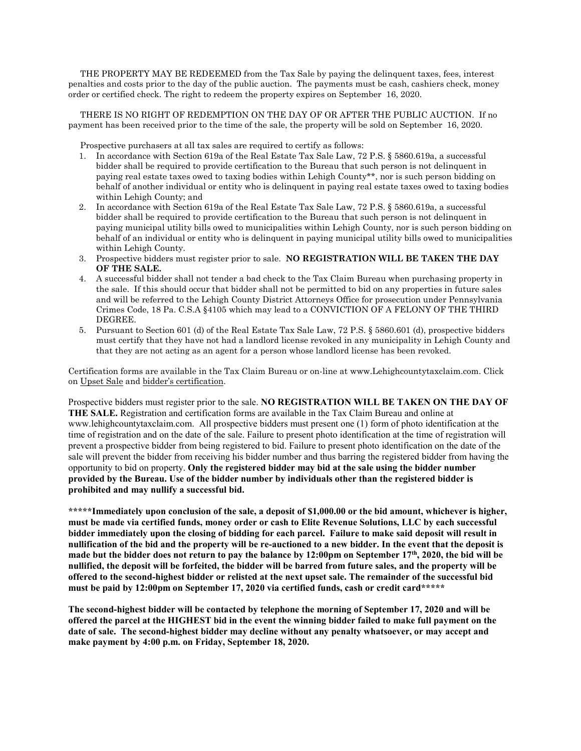THE PROPERTY MAY BE REDEEMED from the Tax Sale by paying the delinquent taxes, fees, interest penalties and costs prior to the day of the public auction. The payments must be cash, cashiers check, money order or certified check. The right to redeem the property expires on September 16, 2020.

 THERE IS NO RIGHT OF REDEMPTION ON THE DAY OF OR AFTER THE PUBLIC AUCTION. If no payment has been received prior to the time of the sale, the property will be sold on September 16, 2020.

Prospective purchasers at all tax sales are required to certify as follows:

- 1. In accordance with Section 619a of the Real Estate Tax Sale Law, 72 P.S. § 5860.619a, a successful bidder shall be required to provide certification to the Bureau that such person is not delinquent in paying real estate taxes owed to taxing bodies within Lehigh County\*\*, nor is such person bidding on behalf of another individual or entity who is delinquent in paying real estate taxes owed to taxing bodies within Lehigh County; and
- 2. In accordance with Section 619a of the Real Estate Tax Sale Law, 72 P.S. § 5860.619a, a successful bidder shall be required to provide certification to the Bureau that such person is not delinquent in paying municipal utility bills owed to municipalities within Lehigh County, nor is such person bidding on behalf of an individual or entity who is delinquent in paying municipal utility bills owed to municipalities within Lehigh County.
- 3. Prospective bidders must register prior to sale. **NO REGISTRATION WILL BE TAKEN THE DAY OF THE SALE.**
- 4. A successful bidder shall not tender a bad check to the Tax Claim Bureau when purchasing property in the sale. If this should occur that bidder shall not be permitted to bid on any properties in future sales and will be referred to the Lehigh County District Attorneys Office for prosecution under Pennsylvania Crimes Code, 18 Pa. C.S.A §4105 which may lead to a CONVICTION OF A FELONY OF THE THIRD DEGREE.
- 5. Pursuant to Section 601 (d) of the Real Estate Tax Sale Law, 72 P.S. § 5860.601 (d), prospective bidders must certify that they have not had a landlord license revoked in any municipality in Lehigh County and that they are not acting as an agent for a person whose landlord license has been revoked.

Certification forms are available in the Tax Claim Bureau or on-line at www.Lehighcountytaxclaim.com. Click on Upset Sale and bidder's certification.

Prospective bidders must register prior to the sale. **NO REGISTRATION WILL BE TAKEN ON THE DAY OF THE SALE.** Registration and certification forms are available in the Tax Claim Bureau and online at www.lehighcountytaxclaim.com. All prospective bidders must present one (1) form of photo identification at the time of registration and on the date of the sale. Failure to present photo identification at the time of registration will prevent a prospective bidder from being registered to bid. Failure to present photo identification on the date of the sale will prevent the bidder from receiving his bidder number and thus barring the registered bidder from having the opportunity to bid on property. **Only the registered bidder may bid at the sale using the bidder number provided by the Bureau. Use of the bidder number by individuals other than the registered bidder is prohibited and may nullify a successful bid.**

**\*\*\*\*\*Immediately upon conclusion of the sale, a deposit of \$1,000.00 or the bid amount, whichever is higher, must be made via certified funds, money order or cash to Elite Revenue Solutions, LLC by each successful bidder immediately upon the closing of bidding for each parcel. Failure to make said deposit will result in nullification of the bid and the property will be re-auctioned to a new bidder. In the event that the deposit is made but the bidder does not return to pay the balance by 12:00pm on September 17th, 2020, the bid will be nullified, the deposit will be forfeited, the bidder will be barred from future sales, and the property will be offered to the second-highest bidder or relisted at the next upset sale. The remainder of the successful bid must be paid by 12:00pm on September 17, 2020 via certified funds, cash or credit card\*\*\*\*\***

**The second-highest bidder will be contacted by telephone the morning of September 17, 2020 and will be offered the parcel at the HIGHEST bid in the event the winning bidder failed to make full payment on the date of sale. The second-highest bidder may decline without any penalty whatsoever, or may accept and make payment by 4:00 p.m. on Friday, September 18, 2020.**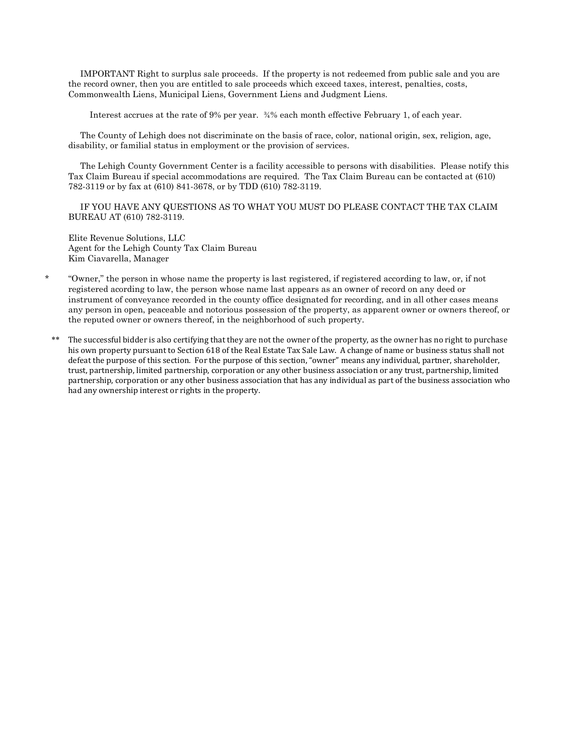IMPORTANT Right to surplus sale proceeds. If the property is not redeemed from public sale and you are the record owner, then you are entitled to sale proceeds which exceed taxes, interest, penalties, costs, Commonwealth Liens, Municipal Liens, Government Liens and Judgment Liens.

Interest accrues at the rate of 9% per year. ¾% each month effective February 1, of each year.

 The County of Lehigh does not discriminate on the basis of race, color, national origin, sex, religion, age, disability, or familial status in employment or the provision of services.

 The Lehigh County Government Center is a facility accessible to persons with disabilities. Please notify this Tax Claim Bureau if special accommodations are required. The Tax Claim Bureau can be contacted at (610) 782-3119 or by fax at (610) 841-3678, or by TDD (610) 782-3119.

 IF YOU HAVE ANY QUESTIONS AS TO WHAT YOU MUST DO PLEASE CONTACT THE TAX CLAIM BUREAU AT (610) 782-3119.

Elite Revenue Solutions, LLC Agent for the Lehigh County Tax Claim Bureau Kim Ciavarella, Manager

- \* "Owner," the person in whose name the property is last registered, if registered according to law, or, if not registered acording to law, the person whose name last appears as an owner of record on any deed or instrument of conveyance recorded in the county office designated for recording, and in all other cases means any person in open, peaceable and notorious possession of the property, as apparent owner or owners thereof, or the reputed owner or owners thereof, in the neighborhood of such property.
- The successful bidder is also certifying that they are not the owner of the property, as the owner has no right to purchase his own property pursuant to Section 618 of the Real Estate Tax Sale Law. A change of name or business status shall not defeat the purpose of this section. For the purpose of this section, "owner" means any individual, partner, shareholder, trust, partnership, limited partnership, corporation or any other business association or any trust, partnership, limited partnership, corporation or any other business association that has any individual as part of the business association who had any ownership interest or rights in the property.